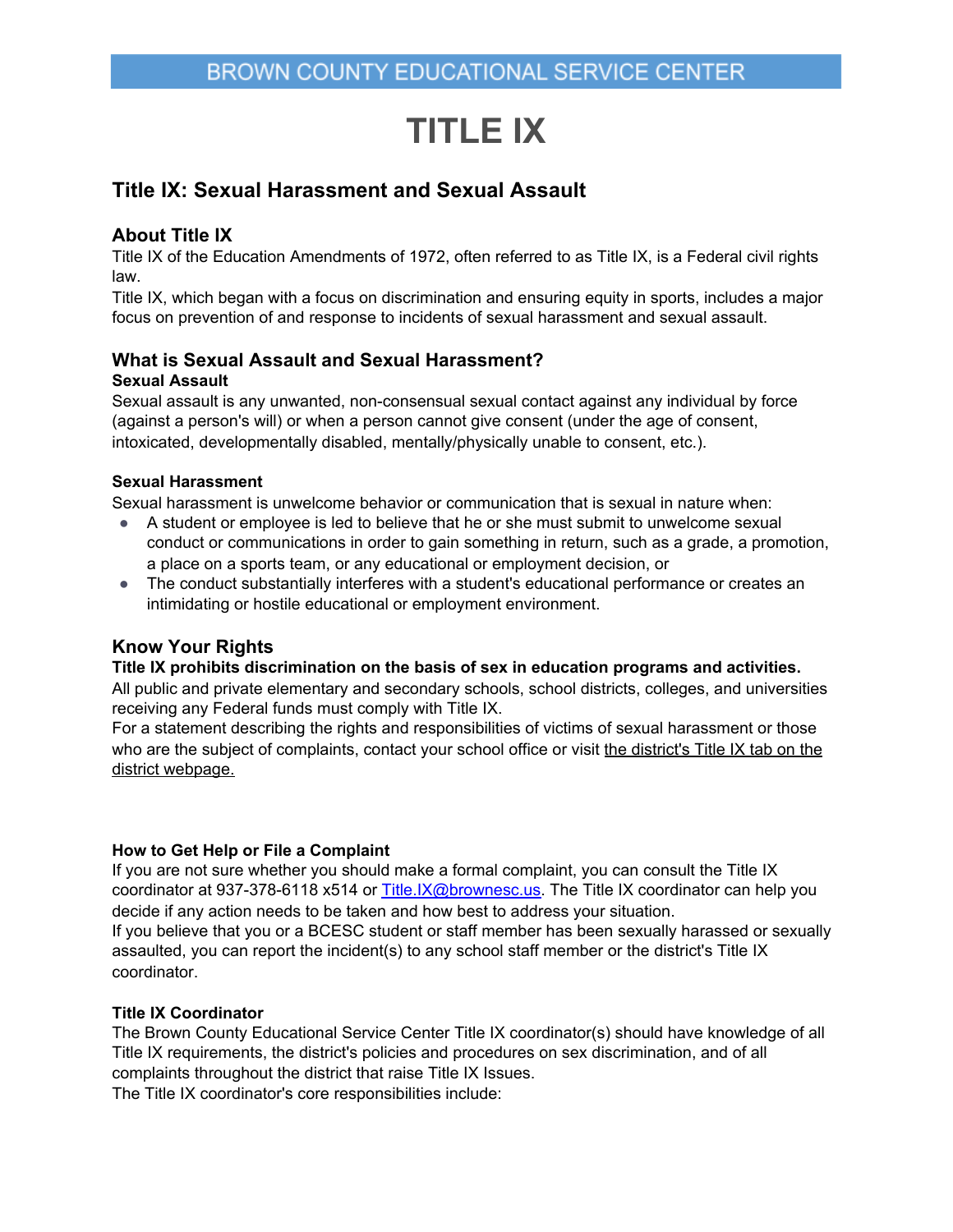# **TITLE IX**

# **Title IX: Sexual Harassment and Sexual Assault**

# **About Title IX**

Title IX of the Education Amendments of 1972, often referred to as Title IX, is a Federal civil rights law.

Title IX, which began with a focus on discrimination and ensuring equity in sports, includes a major focus on prevention of and response to incidents of sexual harassment and sexual assault.

# **What is Sexual Assault and Sexual Harassment?**

## **Sexual Assault**

Sexual assault is any unwanted, non-consensual sexual contact against any individual by force (against a person's will) or when a person cannot give consent (under the age of consent, intoxicated, developmentally disabled, mentally/physically unable to consent, etc.).

## **Sexual Harassment**

Sexual harassment is unwelcome behavior or communication that is sexual in nature when:

- A student or employee is led to believe that he or she must submit to unwelcome sexual conduct or communications in order to gain something in return, such as a grade, a promotion, a place on a sports team, or any educational or employment decision, or
- The conduct substantially interferes with a student's educational performance or creates an intimidating or hostile educational or employment environment.

# **Know Your Rights**

### **Title IX prohibits discrimination on the basis of sex in education programs and activities.**

All public and private elementary and secondary schools, school districts, colleges, and universities receiving any Federal funds must comply with Title IX.

For a statement describing the rights and responsibilities of victims of sexual harassment or those who are the subject of complaints, contact your school office or visit [the district's Title IX tab on the](https://www.seattleschools.org/cms/one.aspx?portalId=627&pageId=1287685) [district webpage.](https://www.seattleschools.org/cms/one.aspx?portalId=627&pageId=1287685)

### **How to Get Help or File a Complaint**

If you are not sure whether you should make a formal complaint, you can consult the Title IX coordinator at 937-378-6118 x514 or [Title.IX@brownesc.us.](mailto:Title.IX@brownesc.us) The Title IX coordinator can help you decide if any action needs to be taken and how best to address your situation. If you believe that you or a BCESC student or staff member has been sexually harassed or sexually assaulted, you can report the incident(s) to any school staff member or the district's Title IX coordinator.

### **Title IX Coordinator**

The Brown County Educational Service Center Title IX coordinator(s) should have knowledge of all Title IX requirements, the district's policies and procedures on sex discrimination, and of all complaints throughout the district that raise Title IX Issues. The Title IX coordinator's core responsibilities include: